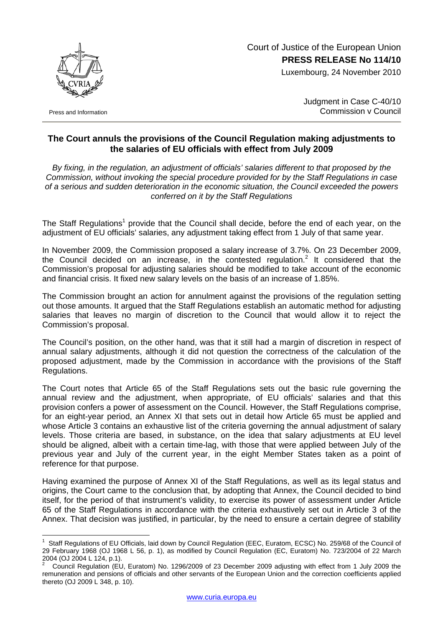Court of Justice of the European Union **PRESS RELEASE No 114/10**

Luxembourg, 24 November 2010



Press and Information

 $\overline{a}$ 

Judgment in Case C-40/10 Commission v Council

## **The Court annuls the provisions of the Council Regulation making adjustments to the salaries of EU officials with effect from July 2009**

*By fixing, in the regulation, an adjustment of officials' salaries different to that proposed by the Commission, without invoking the special procedure provided for by the Staff Regulations in case of a serious and sudden deterioration in the economic situation, the Council exceeded the powers conferred on it by the Staff Regulations* 

The Staff Regulations<sup>[1](#page-0-0)</sup> provide that the Council shall decide, before the end of each year, on the adjustment of EU officials' salaries, any adjustment taking effect from 1 July of that same year.

In November 2009, the Commission proposed a salary increase of 3.7%. On 23 December 2009, the Council decided on an increase, in the contested regulation.<sup>[2](#page-0-1)</sup> It considered that the Commission's proposal for adjusting salaries should be modified to take account of the economic and financial crisis. It fixed new salary levels on the basis of an increase of 1.85%.

The Commission brought an action for annulment against the provisions of the regulation setting out those amounts. It argued that the Staff Regulations establish an automatic method for adjusting salaries that leaves no margin of discretion to the Council that would allow it to reject the Commission's proposal.

The Council's position, on the other hand, was that it still had a margin of discretion in respect of annual salary adjustments, although it did not question the correctness of the calculation of the proposed adjustment, made by the Commission in accordance with the provisions of the Staff Regulations.

The Court notes that Article 65 of the Staff Regulations sets out the basic rule governing the annual review and the adjustment, when appropriate, of EU officials' salaries and that this provision confers a power of assessment on the Council. However, the Staff Regulations comprise, for an eight-year period, an Annex XI that sets out in detail how Article 65 must be applied and whose Article 3 contains an exhaustive list of the criteria governing the annual adjustment of salary levels. Those criteria are based, in substance, on the idea that salary adjustments at EU level should be aligned, albeit with a certain time-lag, with those that were applied between July of the previous year and July of the current year, in the eight Member States taken as a point of reference for that purpose.

Having examined the purpose of Annex XI of the Staff Regulations, as well as its legal status and origins, the Court came to the conclusion that, by adopting that Annex, the Council decided to bind itself, for the period of that instrument's validity, to exercise its power of assessment under Article 65 of the Staff Regulations in accordance with the criteria exhaustively set out in Article 3 of the Annex. That decision was justified, in particular, by the need to ensure a certain degree of stability

<span id="page-0-0"></span><sup>1</sup> Staff Regulations of EU Officials, laid down by Council Regulation (EEC, Euratom, ECSC) No. 259/68 of the Council of 29 February 1968 (OJ 1968 L 56, p. 1), as modified by Council Regulation (EC, Euratom) No. 723/2004 of 22 March 2004 (OJ 2004 L 124, p.1). 2

<span id="page-0-1"></span>Council Regulation (EU, Euratom) No. 1296/2009 of 23 December 2009 adjusting with effect from 1 July 2009 the remuneration and pensions of officials and other servants of the European Union and the correction coefficients applied thereto (OJ 2009 L 348, p. 10).